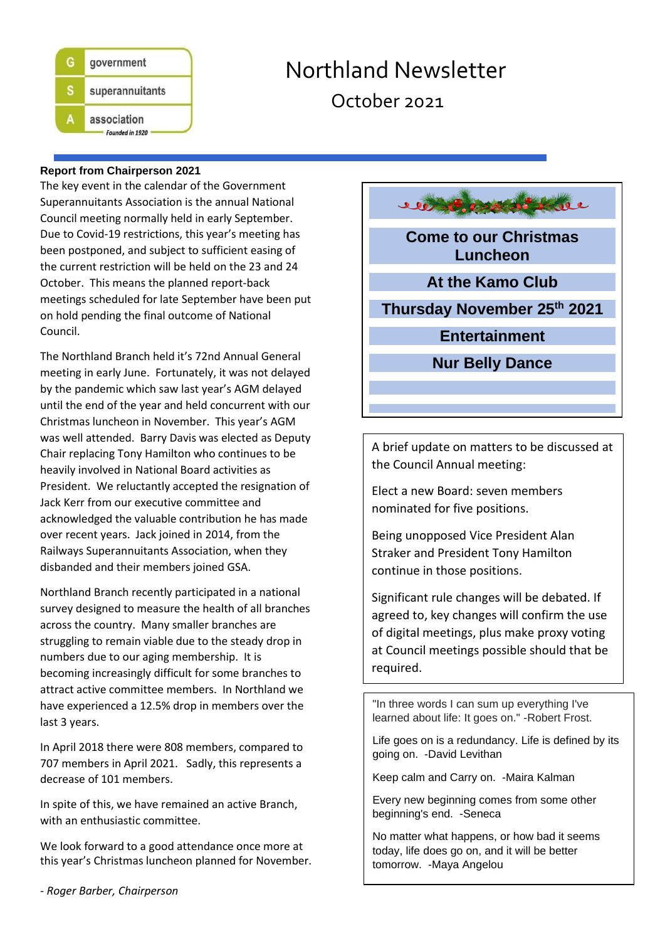

# Northland Newsletter October 2021

محوف

#### **Report from Chairperson 2021**

The key event in the calendar of the Government Superannuitants Association is the annual National Council meeting normally held in early September. Due to Covid-19 restrictions, this year's meeting has been postponed, and subject to sufficient easing of the current restriction will be held on the 23 and 24 October. This means the planned report-back meetings scheduled for late September have been put on hold pending the final outcome of National Council.

The Northland Branch held it's 72nd Annual General meeting in early June. Fortunately, it was not delayed by the pandemic which saw last year's AGM delayed until the end of the year and held concurrent with our Christmas luncheon in November. This year's AGM was well attended. Barry Davis was elected as Deputy Chair replacing Tony Hamilton who continues to be heavily involved in National Board activities as President. We reluctantly accepted the resignation of Jack Kerr from our executive committee and acknowledged the valuable contribution he has made over recent years. Jack joined in 2014, from the Railways Superannuitants Association, when they disbanded and their members joined GSA.

Northland Branch recently participated in a national survey designed to measure the health of all branches across the country. Many smaller branches are struggling to remain viable due to the steady drop in numbers due to our aging membership. It is becoming increasingly difficult for some branches to attract active committee members. In Northland we have experienced a 12.5% drop in members over the last 3 years.

In April 2018 there were 808 members, compared to 707 members in April 2021. Sadly, this represents a decrease of 101 members.

In spite of this, we have remained an active Branch, with an enthusiastic committee.

We look forward to a good attendance once more at this year's Christmas luncheon planned for November. **Come to our Christmas Luncheon**

**At the Kamo Club**

**Thursday November 25th 2021**

**Entertainment**

**Nur Belly Dance**

A brief update on matters to be discussed at the Council Annual meeting:

Elect a new Board: seven members nominated for five positions.

Being unopposed Vice President Alan Straker and President Tony Hamilton continue in those positions.

Significant rule changes will be debated. If agreed to, key changes will confirm the use of digital meetings, plus make proxy voting at Council meetings possible should that be required.

"In three words I can sum up everything I've learned about life: It goes on." -Robert Frost.

Life goes on is a redundancy. Life is defined by its going on. -David Levithan

Keep calm and Carry on. -Maira Kalman

Every new beginning comes from some other beginning's end. -Seneca

No matter what happens, or how bad it seems today, life does go on, and it will be better tomorrow. -Maya Angelou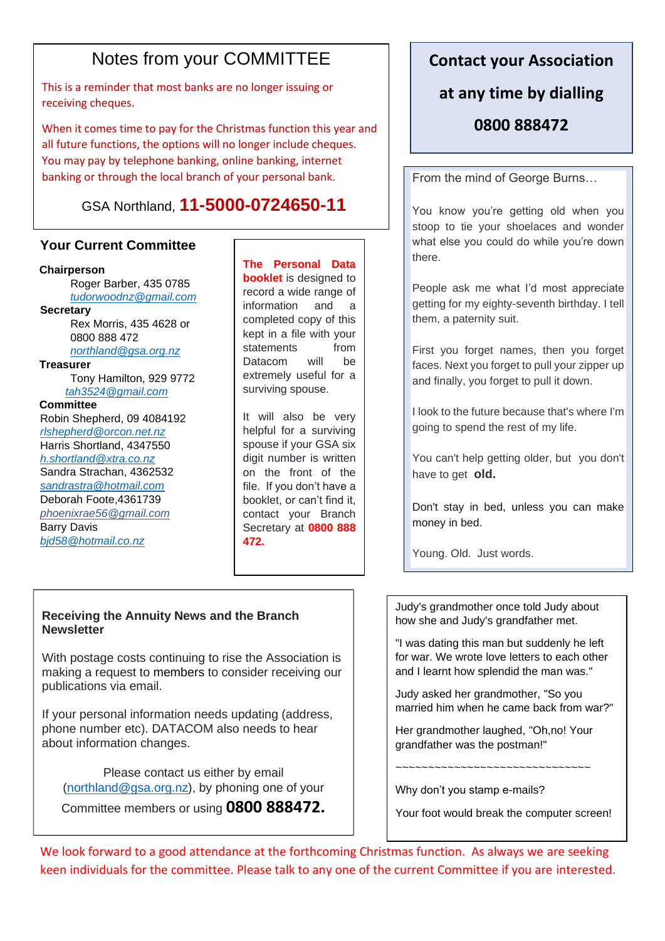## Notes from your COMMITTEE

This is a reminder that most banks are no longer issuing or receiving cheques.

When it comes time to pay for the Christmas function this year and all future functions, the options will no longer include cheques. You may pay by telephone banking, online banking, internet banking or through the local branch of your personal bank.

## GSA Northland, **11-5000-0724650-11**

### **Your Current Committee**

#### **Chairperson**

Roger Barber, 435 0785 *[tudorwoodnz@gmail.com](mailto:tudorwoodnz@gmail.com)* **Secretary**  Rex Morris, 435 4628 or 0800 888 472 *[northland@gsa.org.nz](mailto:northland@gsa.org.nz)* **Treasurer**  Tony Hamilton, 929 9772 *[tah3524@gmail.com](mailto:tah3524@gmail.com)*

#### **Committee**

Robin Shepherd, 09 4084192 *[rlshepherd@orcon.net.nz](mailto:rlshepherd@orcon.net.nz)* Harris Shortland, 4347550 *[h.shortland@xtra.co.nz](mailto:h.shortland@xtra.co.nz)* Sandra Strachan, 4362532 *[sandrastra@hotmail.com](mailto:sandrastra@hotmail.com)* Deborah Foote,4361739 *[phoenixrae56@gmail.com](mailto:phoenixrae56@gmail.com)* Barry Davis *[bjd58@hotmail.co.nz](mailto:bjd58@hotmail.co.nz)*

**The Personal Data booklet** is designed to record a wide range of information and a completed copy of this kept in a file with your statements from Datacom will be extremely useful for a surviving spouse.

It will also be very helpful for a surviving spouse if your GSA six digit number is written on the front of the file. If you don't have a booklet, or can't find it, contact your Branch Secretary at **0800 888 472.**

#### **Receiving the Annuity News and the Branch Newsletter**

With postage costs continuing to rise the Association is making a request to members to consider receiving our publications via email.

If your personal information needs updating (address, phone number etc). DATACOM also needs to hear about information changes.

Please contact us either by email [\(northland@gsa.org.nz\)](mailto:northland@gsa.org.nz), by phoning one of your Committee members or using **0800 888472.**

### **Contact your Association**

### **at any time by dialling**

### **0800 888472**

From the mind of George Burns…

You know you're getting old when you stoop to tie your shoelaces and wonder what else you could do while you're down there.

People ask me what I'd most appreciate getting for my eighty-seventh birthday. I tell them, a paternity suit.

First you forget names, then you forget faces. Next you forget to pull your zipper up and finally, you forget to pull it down.

I look to the future because that's where I'm going to spend the rest of my life.

You can't help getting older, but you don't have to get **old.**

Don't stay in bed, unless you can make money in bed.

Young. Old. Just words.

Judy's grandmother once told Judy about how she and Judy's grandfather met.

"I was dating this man but suddenly he left for war. We wrote love letters to each other and I learnt how splendid the man was."

Judy asked her grandmother, "So you married him when he came back from war?"

Her grandmother laughed, "Oh,no! Your grandfather was the postman!"

~~~~~~~~~~~~~~~~~~~~~~~~~~~~~~

Why don't you stamp e-mails?

Your foot would break the computer screen!

We look forward to a good attendance at the forthcoming Christmas function. As always we are seeking keen individuals for the committee. Please talk to any one of the current Committee if you are interested.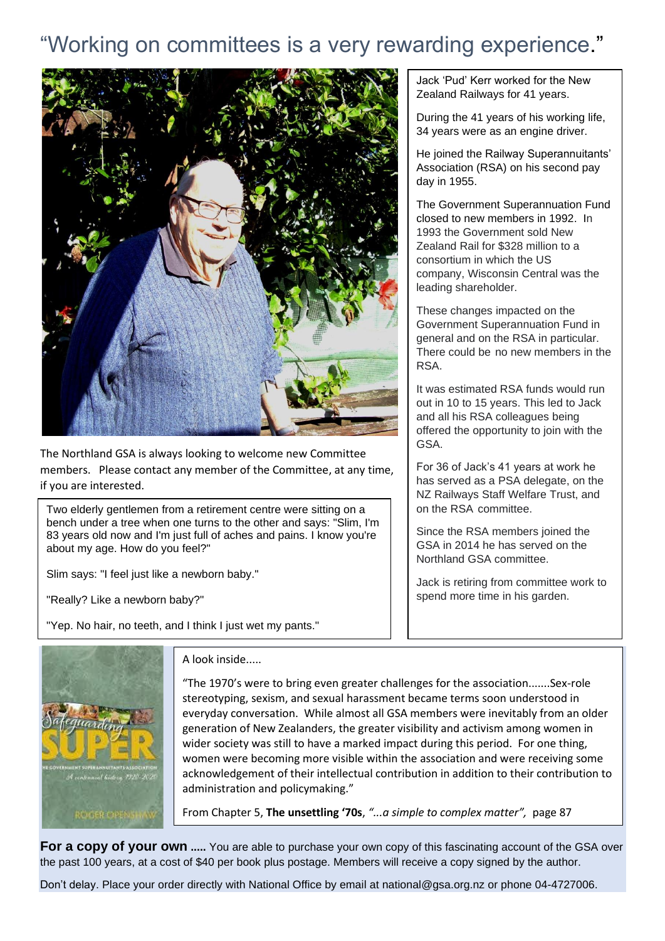# "Working on committees is a very rewarding experience."



The Northland GSA is always looking to welcome new Committee members. Please contact any member of the Committee, at any time, if you are interested.

Two [elderly](http://jokes4all.net/elderly-jokes) gentlemen from a retirement centre were sitting on a bench under a tree when one turns to the other and says: "Slim, I'm 83 years [old](http://jokes4all.net/old-jokes) now and I'm just full of aches and pains. I know you're about my age. How do you feel?"

Slim says: "I feel just like a [newborn](http://jokes4all.net/newborn-jokes) [baby.](http://jokes4all.net/baby-jokes)"

"Really? Like a newborn baby?"

"Yep. No hair, no teeth, and I think I just wet my pants."



A look inside.....

"The 1970's were to bring even greater challenges for the association.......Sex-role stereotyping, sexism, and sexual harassment became terms soon understood in everyday conversation. While almost all GSA members were inevitably from an older generation of New Zealanders, the greater visibility and activism among women in wider society was still to have a marked impact during this period. For one thing, women were becoming more visible within the association and were receiving some acknowledgement of their intellectual contribution in addition to their contribution to administration and policymaking."

From Chapter 5, **The unsettling '70s**, *"...a simple to complex matter",* page 87

**For a copy of your own** ..... You are able to purchase your own copy of this fascinating account of the GSA over the past 100 years, at a cost of \$40 per book plus postage. Members will receive a copy signed by the author.

Don't delay. Place your order directly with National Office by email at national@gsa.org.nz or phone 04-4727006.

Jack 'Pud' Kerr worked for the New Zealand Railways for 41 years.

During the 41 years of his working life, 34 years were as an engine driver.

He joined the Railway Superannuitants' Association (RSA) on his second pay day in 1955.

The Government Superannuation Fund closed to new members in 1992. In 1993 the Government sold New Zealand Rail for \$328 million to a consortium in which the US company, Wisconsin Central was the leading shareholder.

These changes impacted on the Government Superannuation Fund in general and on the RSA in particular. There could be no new members in the RSA.

It was estimated RSA funds would run out in 10 to 15 years. This led to Jack and all his RSA colleagues being offered the opportunity to join with the GSA.

For 36 of Jack's 41 years at work he has served as a PSA delegate, on the NZ Railways Staff Welfare Trust, and on the RSA committee.

Since the RSA members joined the GSA in 2014 he has served on the Northland GSA committee.

Jack is retiring from committee work to spend more time in his garden.